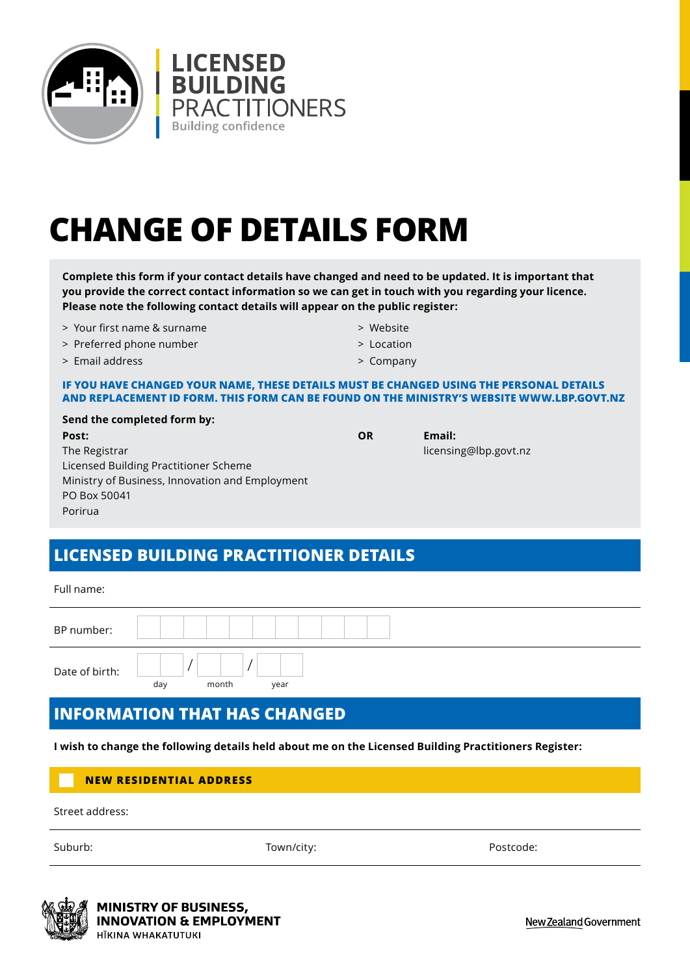

# **CHANGE OF DETAILS FORM**

**Complete this form if your contact details have changed and need to be updated. It is important that you provide the correct contact information so we can get in touch with you regarding your licence. Please note the following contact details will appear on the public register:**

- > Your first name & surname
- > Preferred phone number
- > Email address
- > Website
- > Location
- > Company

#### **IF YOU HAVE CHANGED YOUR NAME, THESE DETAILS MUST BE CHANGED USING THE PERSONAL DETAILS AND REPLACEMENT ID FORM. THIS FORM CAN BE FOUND ON THE MINISTRY'S WEBSITE WWW.LBP.GOVT.NZ**

| Send the completed form by:                     |
|-------------------------------------------------|
| Post:                                           |
| The Registrar                                   |
| Licensed Building Practitioner Scheme           |
| Ministry of Business, Innovation and Employment |
| PO Box 50041                                    |
| Porirua                                         |

### **OR Email:**

licensing@lbp.govt.nz

## **LICENSED BUILDING PRACTITIONER DETAILS**

Full name:

## **INFORMATION THAT HAS CHANGED**

**I wish to change the following details held about me on the Licensed Building Practitioners Register:**

#### **NEW RESIDENTIAL ADDRESS**

Street address:

Suburb: Town/city: Postcode: